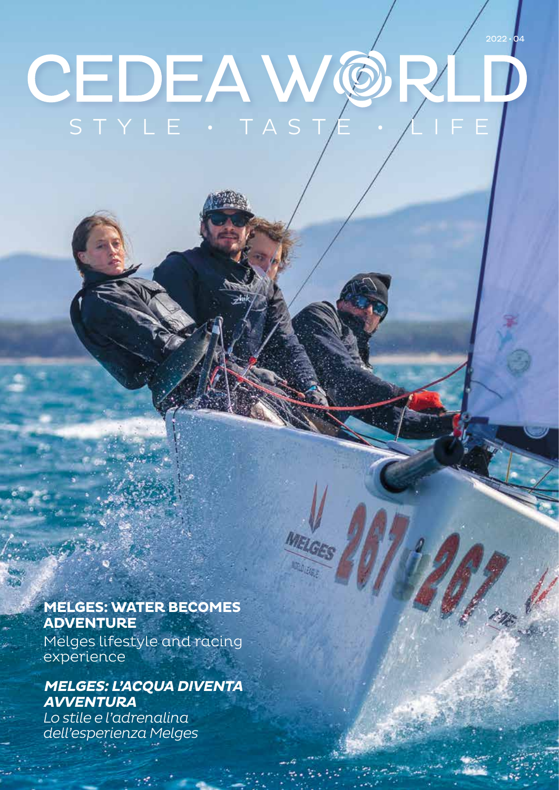# $2022 \cdot 04$ CEDEAW@ STYLE • TAST

MEL

### **MELGES: WATER BECOMES ADVENTURE**

Melges lifestyle and racing experience

### **MELGES: L'ACQUA DIVENTA AVVENTURA**

*Lo stile e l'adrenalina dell'esperienza Melges*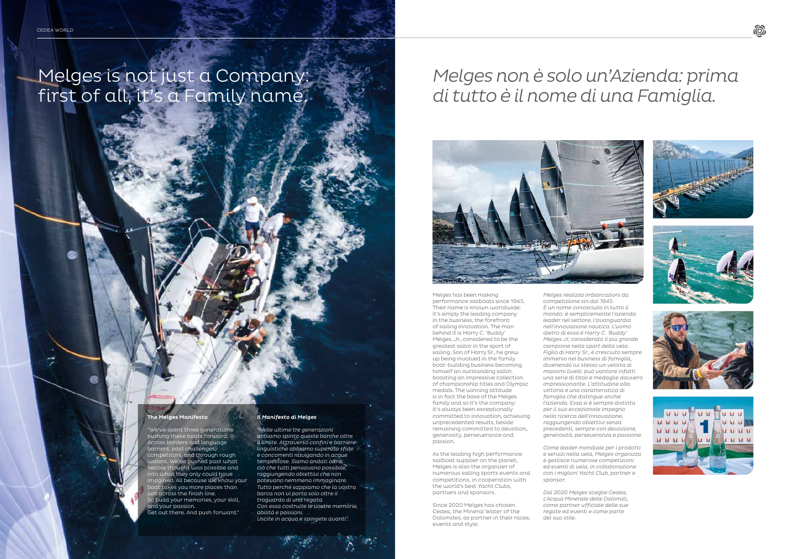## Melges is not just a Company: first of all, it's a Family name.

*Melges realizza imbarcazioni da competizione sin dal 1945. È un nome conosciuto in tutto il mondo: è semplicemente l'azienda leader nel settore, l'avanguardia nell'innovazione nautica. L'uomo dietro di essa è Harry C. 'Buddy' Melges Jr, considerato il più grande campione nella sport della vela. Figlio di Harry Sr., è cresciuto sempre immerso nel business di famiglia, divenendo lui stesso un velista ai massimi livelli: può vantare infatti una serie di titoli e medaglie davvero impressionante. L'attitudine alla vittoria è una caratteristica di famiglia che distingue anche l'azienda. Essa si è sempre distinta per il suo eccezionale impegno nella ricerca dell'innovazione, raggiungendo obiettivi senza precedenti, sempre con devozione, generosità, perseveranza e passione.*

*Come leader mondiale per i prodotti e servizi nella vela, Melges organizza e gestisce numerose competizioni ed eventi di vela, in collaborazione con i migliori Yacht Club, partner e sponsor.* 

*Dal 2020 Melges sceglie Cedea, L'Acqua Minerale delle Dolomiti, come partner ufficiale delle sue regate ed eventi e come parte del suo stile.*











Melges has been making performance sailboats since 1945. Their name is known worldwide: it's simply the leading company in the business, the forefront of sailing innovation. The man behind it is Harry C. 'Buddy' Melges, Jr., considered to be the greatest sailor in the sport of sailing. Son of Harry Sr., he grew up being involved in the family boat-building business becoming himself an outstanding sailor, boasting an impressive collection of championship titles and Olympic medals. The winning attitude is in fact the base of the Melges family and so it's the company: it's always been exceptionally committed to innovation, achieving unprecedented results, beside remaining committed to devotion, generosity, perseverance and passion.

As the leading high performance sailboat supplier on the planet, Melges is also the organizer of numerous sailing sports events and competitions, in cooperation with the world's best Yacht Clubs, partners and sponsors.

Since 2020 Melges has chosen Cedea, the Mineral Water of the Dolomites, as partner in their races, events and style.

# *Melges non è solo un'Azienda: prima di tutto è il nome di una Famiglia.*



#### *Il Manifesto di Melges*

*"Nelle ultime tre generazioni abbiamo spinto queste barche oltre il limite. Attraverso confini e barriere linguistiche abbiamo superato sfide e concorrenti navigando in acque tempestose. Siamo andati oltre ciò che tutti pensavano possibile, raggiungendo obiettivi che non potevano nemmeno immaginare. Tutto perché sappiamo che la vostra barca non vi porta solo oltre il traguardo di una regata. Con essa costruite le vostre memorie, abilità e passioni. Uscite in acqua e spingete avanti".*

#### The Melges Manifesto

"We've spent three generations pushing these boats forward. Across borders and language barriers, past challenges, competitors, and through rough Ve've pushed past what people thought was possible and nto what they only could have ined. All because we know your boat takes you more places than ist across the finish line. So build your memories, your skill, and your passion.

Get out there. And push forward."